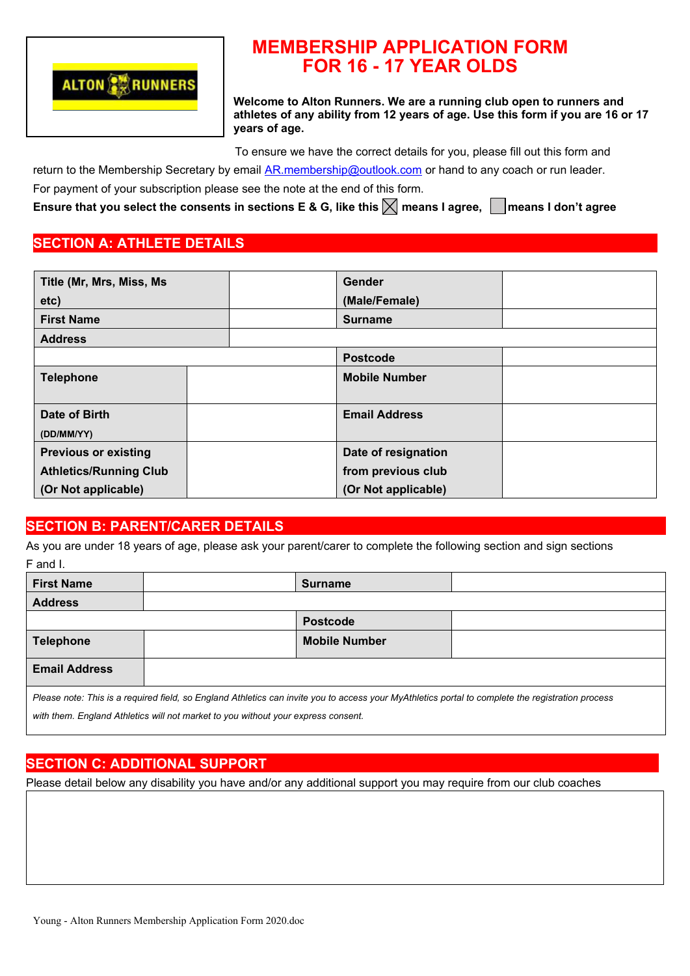

# **MEMBERSHIP APPLICATION FORM FOR 16 - 17 YEAR OLDS**

**Welcome to Alton Runners. We are a running club open to runners and athletes of any ability from 12 years of age. Use this form if you are 16 or 17 years of age.**

To ensure we have the correct details for you, please fill out this form and

return to the Membership Secretary by email AR.membership@outlook.com or hand to any coach or run leader.

For payment of your subscription please see the note at the end of this form.

**Ensure that you select the consents in sections E & G, like this**  $\boxtimes$  **means I agree,**  $\Box$  **means I don't agree** 

### **SECTION A: ATHLETE DETAILS**

| Title (Mr, Mrs, Miss, Ms      |  | Gender               |  |
|-------------------------------|--|----------------------|--|
| etc)                          |  | (Male/Female)        |  |
| <b>First Name</b>             |  | <b>Surname</b>       |  |
| <b>Address</b>                |  |                      |  |
|                               |  | <b>Postcode</b>      |  |
| <b>Telephone</b>              |  | <b>Mobile Number</b> |  |
| Date of Birth<br>(DD/MM/YY)   |  | <b>Email Address</b> |  |
| <b>Previous or existing</b>   |  | Date of resignation  |  |
| <b>Athletics/Running Club</b> |  | from previous club   |  |
| (Or Not applicable)           |  | (Or Not applicable)  |  |

### **SECTION B: PARENT/CARER DETAILS**

As you are under 18 years of age, please ask your parent/carer to complete the following section and sign sections F and I.

| <b>First Name</b>                                                                                                                                 |  | <b>Surname</b>       |  |
|---------------------------------------------------------------------------------------------------------------------------------------------------|--|----------------------|--|
| <b>Address</b>                                                                                                                                    |  |                      |  |
|                                                                                                                                                   |  | <b>Postcode</b>      |  |
| <b>Telephone</b>                                                                                                                                  |  | <b>Mobile Number</b> |  |
| <b>Email Address</b>                                                                                                                              |  |                      |  |
| Please note: This is a required field, so England Athletics can invite you to access your MyAthletics portal to complete the registration process |  |                      |  |

*with them. England Athletics will not market to you without your express consent.*

### **SECTION C: ADDITIONAL SUPPORT**

Please detail below any disability you have and/or any additional support you may require from our club coaches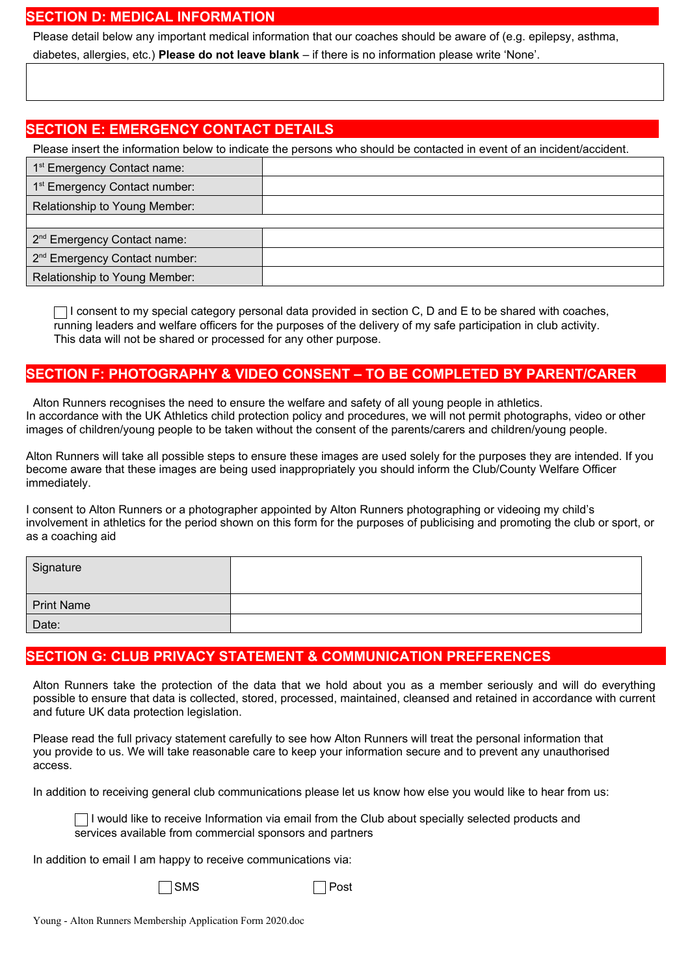#### **SECTION D: MEDICAL INFORMATION**

Please detail below any important medical information that our coaches should be aware of (e.g. epilepsy, asthma,

diabetes, allergies, etc.) **Please do not leave blank** – if there is no information please write 'None'.

## **SECTION E: EMERGENCY CONTACT DETAILS**

Please insert the information below to indicate the persons who should be contacted in event of an incident/accident.

| 1 <sup>st</sup> Emergency Contact name:   |  |
|-------------------------------------------|--|
| 1 <sup>st</sup> Emergency Contact number: |  |
| Relationship to Young Member:             |  |
|                                           |  |
| 2 <sup>nd</sup> Emergency Contact name:   |  |
| 2 <sup>nd</sup> Emergency Contact number: |  |
| Relationship to Young Member:             |  |

 $\Box$  I consent to my special category personal data provided in section C, D and E to be shared with coaches, running leaders and welfare officers for the purposes of the delivery of my safe participation in club activity. This data will not be shared or processed for any other purpose.

# **SECTION F: PHOTOGRAPHY & VIDEO CONSENT – TO BE COMPLETED BY PARENT/CARER**

Alton Runners recognises the need to ensure the welfare and safety of all young people in athletics. In accordance with the UK Athletics child protection policy and procedures, we will not permit photographs, video or other images of children/young people to be taken without the consent of the parents/carers and children/young people.

Alton Runners will take all possible steps to ensure these images are used solely for the purposes they are intended. If you become aware that these images are being used inappropriately you should inform the Club/County Welfare Officer immediately.

I consent to Alton Runners or a photographer appointed by Alton Runners photographing or videoing my child's involvement in athletics for the period shown on this form for the purposes of publicising and promoting the club or sport, or as a coaching aid

| Signature         |  |
|-------------------|--|
| <b>Print Name</b> |  |
| Date:             |  |

# **SECTION G: CLUB PRIVACY STATEMENT & COMMUNICATION PREFERENCES**

Alton Runners take the protection of the data that we hold about you as a member seriously and will do everything possible to ensure that data is collected, stored, processed, maintained, cleansed and retained in accordance with current and future UK data protection legislation.

Please read the full privacy statement carefully to see how Alton Runners will treat the personal information that you provide to us. We will take reasonable care to keep your information secure and to prevent any unauthorised access.

In addition to receiving general club communications please let us know how else you would like to hear from us:

 $\Box$  I would like to receive Information via email from the Club about specially selected products and services available from commercial sponsors and partners

In addition to email I am happy to receive communications via:

|--|

 $\Box$  Post